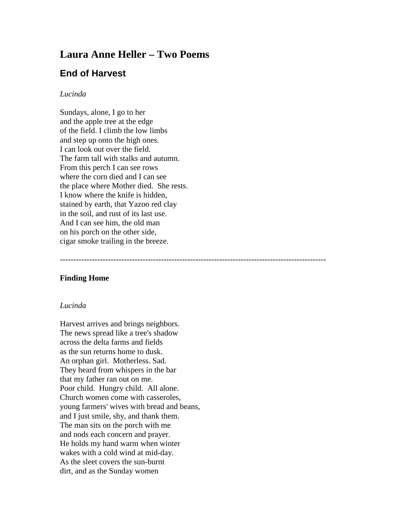# **Laura Anne Heller – Two Poems**

## **End of Harvest**

#### *Lucinda*

Sundays, alone, I go to her and the apple tree at the edge of the field. I climb the low limbs and step up onto the high ones. I can look out over the field. The farm tall with stalks and autumn. From this perch I can see rows where the corn died and I can see the place where Mother died. She rests. I know where the knife is hidden, stained by earth, that Yazoo red clay in the soil, and rust of its last use. And I can see him, the old man on his porch on the other side, cigar smoke trailing in the breeze.

----------------------------------------------------------------------------------------------------

### **Finding Home**

#### *Lucinda*

Harvest arrives and brings neighbors. The news spread like a tree's shadow across the delta farms and fields as the sun returns home to dusk. An orphan girl. Motherless. Sad. They heard from whispers in the bar that my father ran out on me. Poor child. Hungry child. All alone. Church women come with casseroles, young farmers' wives with bread and beans, and I just smile, shy, and thank them. The man sits on the porch with me and nods each concern and prayer. He holds my hand warm when winter wakes with a cold wind at mid-day. As the sleet covers the sun-burnt dirt, and as the Sunday women